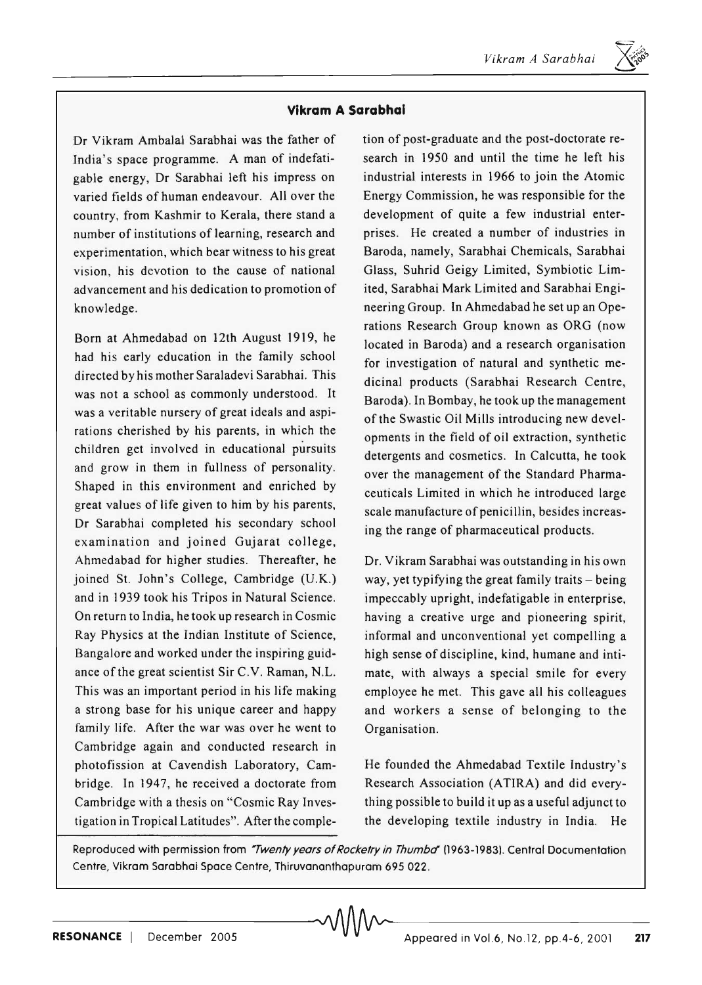$\overline{\mathcal{F}}$ 

## **Vikram A Sarabhai**

Dr Vikram Ambalal Sarabhai was the father of India's space programme. A man of indefatigable energy, Dr Sarabhai left his impress on varied fields of human endeavour. All over the country, from Kashmir to Kerala, there stand a number of institutions of learning, research and experimentation, which bear witness to his great vision, his devotion to the cause of national advancement and his dedication to promotion of knowledge.

Born at Ahmedabad on 12th August 1919, he had his early education in the family school directed by his mother Saraladevi Sarabhai. This was not a school as commonly understood. It was a veritable nursery of great ideals and aspirations cherished by his parents, in which the children get involved in educational pursuits and grow in them in fullness of personality. Shaped in this environment and enriched by great values of life given to him by his parents, Dr Sarabhai completed his secondary school examination and joined Gujarat college, Ahmedabad for higher studies. Thereafter, he joined St. John's College, Cambridge (U.K.) and in 1939 took his Tripos in Natural Science. On return to India, he took up research in Cosmic Ray Physics at the Indian Institute of Science, Bangalore and worked under the inspiring guidance of the great scientist Sir C.V. Raman, N.L. This was an important period in his life making a strong base for his unique career and happy family life. After the war was over he went to Cambridge again and conducted research in photofission at Cavendish Laboratory, Cambridge. In 1947, he received a doctorate from Cambridge with a thesis on "Cosmic Ray Investigation in Tropical Latitudes". After the completion of post-graduate and the post-doctorate research in 1950 and until the time he left his industrial interests in 1966 to join the Atomic Energy Commission, he was responsible for the development of quite a few industrial enterprises. He created a number of industries in Baroda, namely, Sarabhai Chemicals, Sarabhai Glass, Suhrid Geigy Limited, Symbiotic Limited, Sarabhai Mark Limited and Sarabhai Engineering Group. In Ahmedabad he set up an Operations Research Group known as ORG (now located in Baroda) and a research organisation for investigation of natural and synthetic medicinal products (Sarabhai Research Centre, Baroda). In Bombay, he took up the management of the Swastic Oil Mills introducing new developments in the field of oil extraction, synthetic detergents and cosmetics. In Calcutta, he took over the management of the Standard Pharmaceuticals Limited in which he introduced large scale manufacture of penicillin, besides increasing the range of pharmaceutical products.

Dr. Vikram Sarabhai was outstanding in his own way, yet typifying the great family traits  $-$  being impeccably upright, indefatigable in enterprise, having a creative urge and pioneering spirit, informal and unconventional yet compelling a high sense of discipline, kind, humane and intimate, with always a special smile for every employee he met. This gave all his colleagues and workers a sense of belonging to the Organisation.

He founded the Ahmedabad Textile Industry's Research Association (ATIRA) and did everything possible to build it up as a useful adjunct to the developing textile industry in India. He

Reproduced with permission from "Twenty years of Rocketry in Thumba" (1963-1983). Central Documentation Centre, Yikram Sarabhai Space Centre, Thiruvananthapuram 695 022.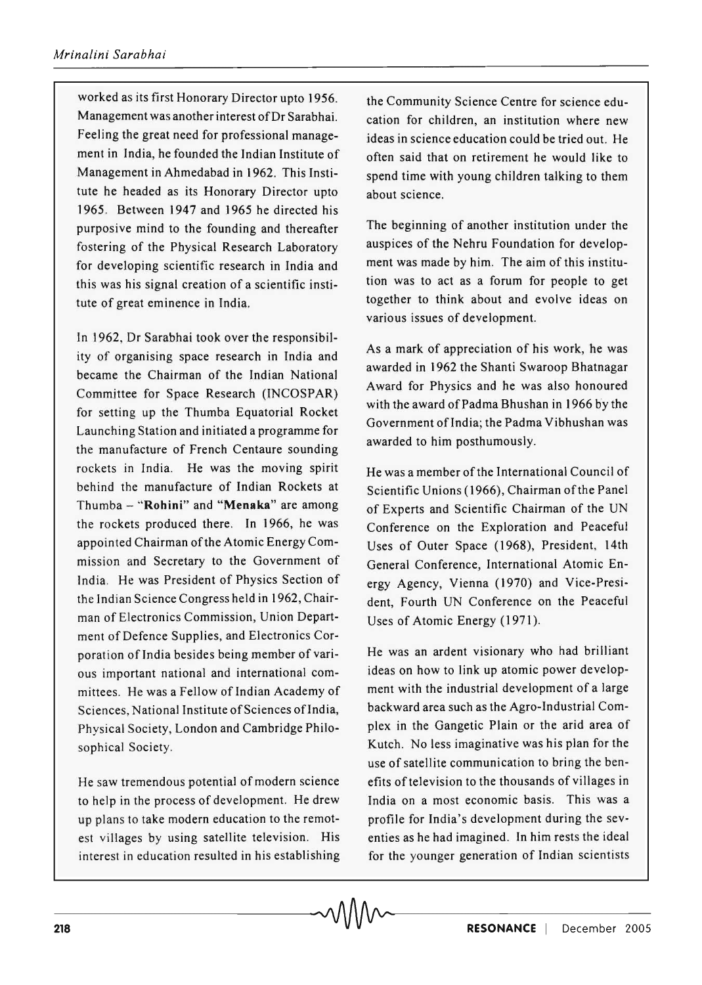worked as its first Honorary Director upto 1956. Management was another interest of Dr Sarabhai. Feeling the great need for professional management in India, he founded the Indian Institute of Management in Ahmedabad in 1962. This Institute he headed as its Honorary Director upto 1965. Between 1947 and 1965 he directed his purposive mind to the founding and thereafter fostering of the Physical Research Laboratory for developing scientific research in India and this was his signal creation of a scientific institute of great eminence in India.

In 1962, Dr Sarabhai took over the responsibility of organising space research in India and became the Chairman of the Indian National Committee for Space Research (lNCOSPAR) for setting up the Thumba Equatorial Rocket Launching Station and initiated a programme for the manufacture of French Centaure sounding rockets in India. He was the moving spirit behind the manufacture of Indian Rockets at Thumba - "Rohini" and "Menaka" are among the rockets produced there. In 1966, he was appointed Chairman of the Atomic Energy Commission and Secretary to the Government of India. He was President of Physics Section of the Indian Science Congress held in 1962, Chairman of Electronics Commission, Union Department of Defence Supplies, and Electronics Corporation of India besides being member of various important national and international committees. He was a Fellow of Indian Academy of Sciences, National Institute of Sciences of India, Physical Society, London and Cambridge Philosophical Society.

He saw tremendous potential of modern science to help in the process of development. He drew up plans to take modern education to the remotest villages by using satellite television. His interest in education resulted in his establishing

the Community Science Centre for science education for children, an institution where new ideas in science education could be tried out. He often said that on retirement he would like to spend time with young children talking to them about science.

The beginning of another institution under the auspices of the Nehru Foundation for development was made by him. The aim of this institution was to act as a forum for people to get together to think about and evolve ideas on various issues of development.

As a mark of appreciation of his work, he was awarded in 1962 the Shanti Swaroop Bhatnagar Award for Physics and he was also honoured with the award of Padma Bhushan in 1966 by the Government of India; the Padma Vibhushan was awarded to him posthumously.

He was a member of the International Council of Scientific Unions (1966), Chairman of the Panel of Experts and Scientific Chairman of the UN Conference on the Exploration and Peaceful Uses of Outer Space (1968), President, 14th General Conference, International Atomic Energy Agency, Vienna (1970) and Vice-President, Fourth UN Conference on the Peaceful Uses of Atomic Energy (1971).

He was an ardent visionary who had brilliant ideas on how to link up atomic power development with the industrial development of a large backward area such as the Agro-Industrial Complex in the Gangetic Plain or the arid area of Kutch. No less imaginative was his plan for the use of satellite communication to bring the benefits of television to the thousands of villages in India on a most economic basis. This was a profile for India's development during the seventies as he had imagined. In him rests the ideal for the younger generation of Indian scientists